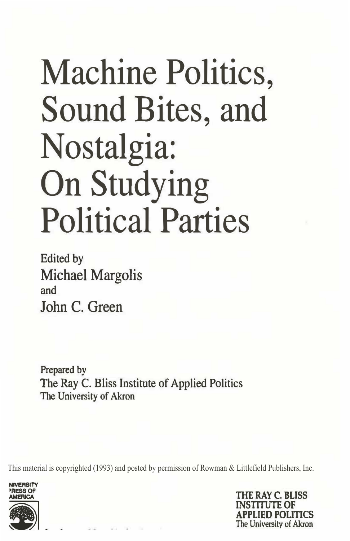# Machine Politics, Sound Bites, and Nostalgia: On Studying Political Parties

Edited by Michael Margolis and John C. Green

Prepared by The Ray C. Bliss Institute of Applied Politics The University of Akron

This material is copyrighted (1993) and posted by permission of Rowman & Littlefield Publishers, Inc.



lHE RAY C. **BLISS INSTITUTE OF**  APPLIED POLmcs **The University of Akron**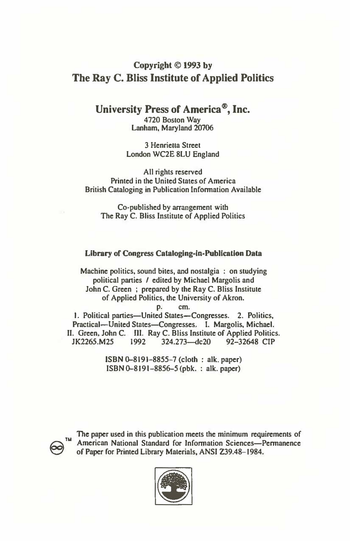### **Copyright © 1993 by The Ray C. Bliss Institute of Applied Politics**

**University Press of America®, Inc.** 

**4720 Boston Way Lanham, Maryland 20706** 

**3 Henrieua Street London WC2E 8LU England** 

**All rights reserved Printed in the United States of America British Cataloging in Publication Information Available** 

**Co-published by arrangement with The Ray C. Bliss Institute of Applied Politics** 

#### **Library of Congress Cataloging-in-Publication Data**

Machine politics, sound bites, and nostalgia : on studying **political parties / edited by Michael Margolis and John C. Green ; prepared by the Ray C. Bliss Institute of Applied Politics, the University of Akron.** 

**p. cm.**

**I. Political panics-United States-Congresses. 2. Politics,** Practical-United States-Congresses. I. Margolis, Michael. **II. Green, John C. Ill. Ray C. Bliss Institute of Applied Politics. JK2265.M25 1992 324.273-dc2O 92-32648 CIP** 

> **ISBN 0-8191-8855-7 (cloth : alk. paper) ISBN 0-8191-8856-5 (pbk. : alk. paper)**



**The paper used in this publication meets the minimum requirements of TM** The paper used in this publication needs the minimum requirements of  $\overline{a}$  American National Standard for Information Sciences-Permanence **'Cl of Paper for Printed Library Materials, ANSI 239.48-1984.** 

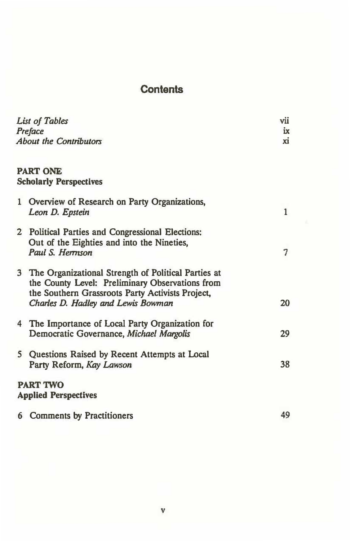## **Contents**

| List of Tables |                                                                                                                    | vii          |
|----------------|--------------------------------------------------------------------------------------------------------------------|--------------|
| Preface        |                                                                                                                    | ix           |
|                | <b>About the Contributors</b>                                                                                      |              |
|                | <b>PART ONE</b>                                                                                                    |              |
|                | <b>Scholarly Perspectives</b>                                                                                      |              |
|                | 1 Overview of Research on Party Organizations,<br>Leon D. Epstein                                                  | $\mathbf{1}$ |
|                | 2 Political Parties and Congressional Elections:<br>Out of the Eighties and into the Nineties,<br>Paul S. Herrison | 7            |
|                |                                                                                                                    |              |
|                | 3 The Organizational Strength of Political Parties at<br>the County Level: Preliminary Observations from           |              |
|                | the Southern Grassroots Party Activists Project,                                                                   |              |
|                | Charles D. Hadley and Lewis Bowman                                                                                 | 20           |
|                | 4 The Importance of Local Party Organization for                                                                   |              |
|                | Democratic Governance, Michael Margolis                                                                            | 29           |
|                | 5 Questions Raised by Recent Attempts at Local                                                                     |              |
|                | Party Reform, Kay Lawson                                                                                           | 38           |
|                | <b>PART TWO</b>                                                                                                    |              |
|                | <b>Applied Perspectives</b>                                                                                        |              |
|                | <b>6</b> Comments by Practitioners                                                                                 | 49           |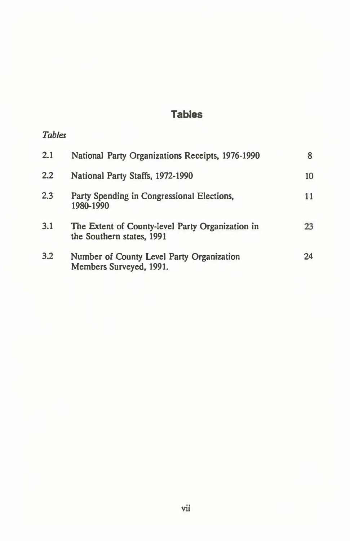## **Tables**

### *Tables*

| 2.1     | National Party Organizations Receipts, 1976-1990                              |    |
|---------|-------------------------------------------------------------------------------|----|
| $2.2\,$ | National Party Staffs, 1972-1990                                              | 10 |
| 2,3     | Party Spending in Congressional Elections,<br>1980-1990                       | 11 |
| 3.1     | The Extent of County-level Party Organization in<br>the Southern states, 1991 | 23 |
| 3.2     | Number of County Level Party Organization<br>Members Surveyed, 1991.          | 24 |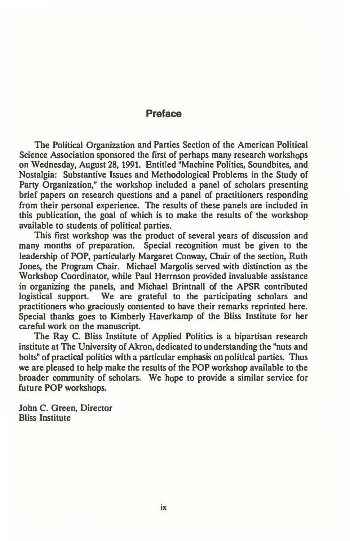#### **Preface**

**The Political Organization and Parties Section of the American Political Science Association sponsored the first of perhaps many research workshops on Wednesday, August 28, 1991. Entitled "Machine Politics, Soundbites, and Nostalgia: Substantive Issues and Methodological Problems in the Study of Party Organization," the workshop included a panel of scholars presenting brief papers on research questions and a panel of practitioners responding from their personal experience. The results of these panels are included in this publication, the goal of which is to make the results of the workshop available to students of political parties.** 

**This first workshop was the product of several years of discussion and many months of preparation. Special recognition must be given to the leadership of POP, particularly Margaret Conway, Chair of the section, Ruth Jones, the Program Chair. Michael Margolis served with distinction as the Workshop Coordinator, while Paul Herrnson provided invaluable assistance in organizing the panels, and Michael Brintnall of the APSR contributed logistical support. We are grateful to the participating scholars and practitioners who graciously consented to have their remarks reprinted here. Special thanks goes to Kimberly Haverkamp of the Bliss Institute for her careful work on the manuscript.** 

**The Ray C. Bliss Institute of Applied Politics is a bipartisan research institute at The University of Akron, dedicated to understanding the "nuts and bolts" of practical politics with a particular emphasis on political parties. Thus we are pleased to help make the results of the POP workshop available to the broader community of scholars. We hope to provide a similar service for future POP workshops.** 

**John C. Green, Director Bliss Institute**